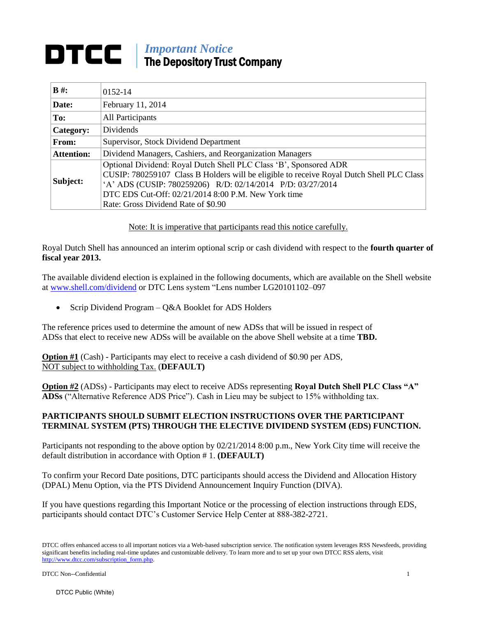## *Important Notice* The Depository Trust Company

| $B \#$ :          | 0152-14                                                                                                                                                                                                                                                                                                                    |
|-------------------|----------------------------------------------------------------------------------------------------------------------------------------------------------------------------------------------------------------------------------------------------------------------------------------------------------------------------|
| Date:             | February 11, 2014                                                                                                                                                                                                                                                                                                          |
| To:               | All Participants                                                                                                                                                                                                                                                                                                           |
| Category:         | Dividends                                                                                                                                                                                                                                                                                                                  |
| From:             | Supervisor, Stock Dividend Department                                                                                                                                                                                                                                                                                      |
| <b>Attention:</b> | Dividend Managers, Cashiers, and Reorganization Managers                                                                                                                                                                                                                                                                   |
| Subject:          | Optional Dividend: Royal Dutch Shell PLC Class 'B', Sponsored ADR<br>CUSIP: 780259107 Class B Holders will be eligible to receive Royal Dutch Shell PLC Class<br>'A' ADS (CUSIP: 780259206) R/D: 02/14/2014 P/D: 03/27/2014<br>DTC EDS Cut-Off: $02/21/20148:00$ P.M. New York time<br>Rate: Gross Dividend Rate of \$0.90 |

Note: It is imperative that participants read this notice carefully.

Royal Dutch Shell has announced an interim optional scrip or cash dividend with respect to the **fourth quarter of fiscal year 2013.** 

The available dividend election is explained in the following documents, which are available on the Shell website at [www.shell.com/dividend](http://www.shell.com/dividend) or DTC Lens system "Lens number LG20101102–097

• Scrip Dividend Program – Q&A Booklet for ADS Holders

The reference prices used to determine the amount of new ADSs that will be issued in respect of ADSs that elect to receive new ADSs will be available on the above Shell website at a time **TBD.** 

**Option #1** (Cash) - Participants may elect to receive a cash dividend of \$0.90 per ADS, NOT subject to withholding Tax. (**DEFAULT)**

**Option #2** (ADSs) - Participants may elect to receive ADSs representing **Royal Dutch Shell PLC Class "A" ADSs** ("Alternative Reference ADS Price"). Cash in Lieu may be subject to 15% withholding tax.

## **PARTICIPANTS SHOULD SUBMIT ELECTION INSTRUCTIONS OVER THE PARTICIPANT TERMINAL SYSTEM (PTS) THROUGH THE ELECTIVE DIVIDEND SYSTEM (EDS) FUNCTION.**

Participants not responding to the above option by 02/21/2014 8:00 p.m., New York City time will receive the default distribution in accordance with Option # 1. **(DEFAULT)** 

To confirm your Record Date positions, DTC participants should access the Dividend and Allocation History (DPAL) Menu Option, via the PTS Dividend Announcement Inquiry Function (DIVA).

If you have questions regarding this Important Notice or the processing of election instructions through EDS, participants should contact DTC's Customer Service Help Center at 888-382-2721.

DTCC offers enhanced access to all important notices via a Web-based subscription service. The notification system leverages RSS Newsfeeds, providing significant benefits including real-time updates and customizable delivery. To learn more and to set up your own DTCC RSS alerts, visit http://www.dtcc.com/subscription\_form.php.

DTCC Non--Confidential 1